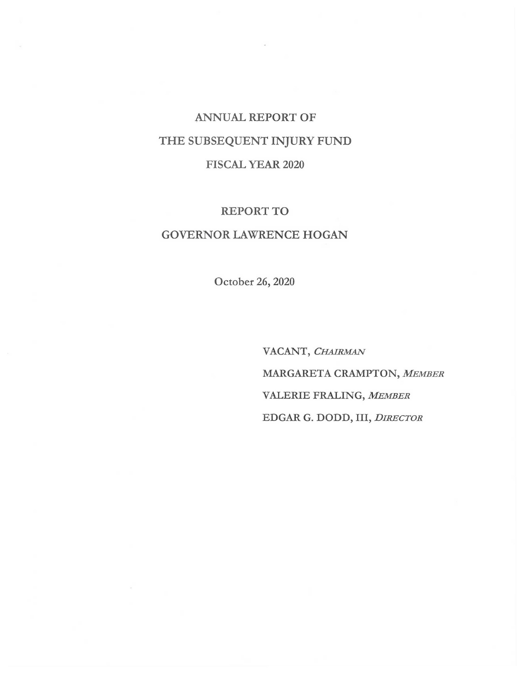# ANNUAL REPORT OF THE SUBSEQUENT INJURY FUND FISCAL YEAR 2020

## REPORT TO

# GOVERNOR LAWRENCE HOGAN

October 26, 2020

VACANT, *CHAIRMAN MARGARETACRAMPTON,MEMBER*  VALERIE FRALING, *MEMBER*  EDGAR G. DODD, III, *DIRECTOR*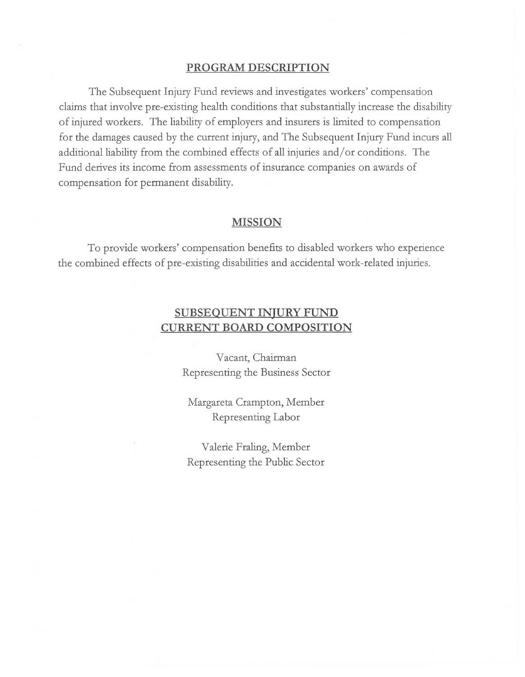## **PROGRAM DESCRIPTION**

The Subsequent Injury Fund reviews and investigates workers' compensation claims that involve pre-existing health conditions that substantially increase the disability of injured workers. The liability of employers and insurers is limited to compensation for the damages caused by the current injury, and The Subsequent Injury Fund incurs all additional liability from the combined effects of all injuries and/ or conditions. The Fund derives its income from assessments of insurance companies on awards of compensation for permanent disability.

### **MISSION**

To provide workers' compensation benefits to disabled workers who experience the combined effects of pre-existing disabilities and accidental work-related injuries.

# **SUBSEQUENT INJURY FUND CURRENT BOARD COMPOSITION**

Vacant, Chairman Representing the Business Sector

Margareta Crampton, Member Representing Labor

Valerie Fraling, Member Representing the Public Sector